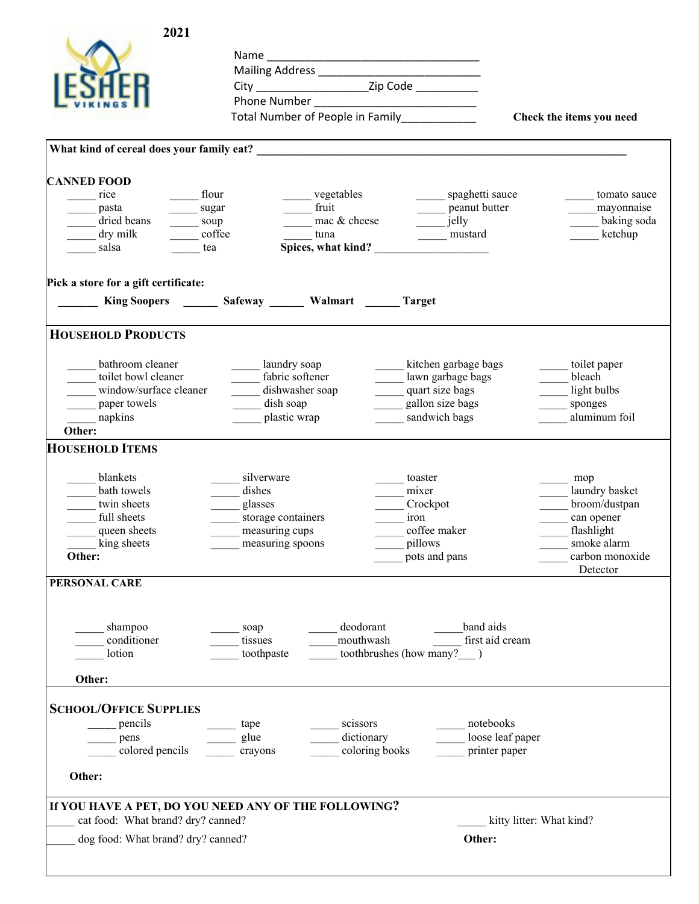| Phone Number<br>Total Number of People in Family<br>Check the items you need<br><b>CANNED FOOD</b><br>flour<br>vegetables<br>rice<br>spaghetti sauce<br>tomato sauce<br>$\frac{1}{\sqrt{2}}$ fruit<br>peanut butter<br>mayonnaise<br>pasta<br>sugar<br>mac & cheese<br>dried beans<br>jelly<br>baking soda<br>soup<br>$\mathcal{L}^{\mathcal{L}}$ , $\mathcal{L}^{\mathcal{L}}$<br>coffee<br>dry milk<br>mustard<br>ketchup<br>tuna<br>Spices, what kind?<br>salsa<br>tea<br>Pick a store for a gift certificate:<br>King Soopers ________ Safeway _______ Walmart ______ Target<br><b>HOUSEHOLD PRODUCTS</b><br>bathroom cleaner<br>laundry soap<br>kitchen garbage bags<br>toilet paper<br>fabric softener<br>toilet bowl cleaner<br>lawn garbage bags<br>bleach<br>window/surface cleaner<br>dishwasher soap<br>light bulbs<br>quart size bags<br>dish soap<br>gallon size bags<br>______ paper towels<br>sponges<br>aluminum foil<br>napkins<br>plastic wrap<br>sandwich bags<br>Other:<br>blankets<br>silverware<br>toaster<br>mop<br>bath towels<br>dishes<br>mixer<br>laundry basket<br>broom/dustpan<br>twin sheets<br>glasses<br>Crockpot<br>full sheets<br>storage containers<br>iron<br>can opener<br>flashlight<br>coffee maker<br>queen sheets<br>measuring cups<br>king sheets<br>smoke alarm<br>pillows<br>measuring spoons<br>Other:<br>pots and pans<br>carbon monoxide<br>Detector<br>PERSONAL CARE<br>deodorant<br>band aids<br>shampoo<br>soap<br>mouthwash<br>conditioner<br>first aid cream<br>tissues<br>toothbrushes (how many?)<br>lotion<br>toothpaste<br>Other:<br><b>SCHOOL/OFFICE SUPPLIES</b><br>pencils<br>scissors<br>notebooks<br>tape<br>dictionary<br>loose leaf paper<br>glue<br>pens<br>colored pencils<br>coloring books<br>printer paper<br>crayons<br>Other:<br>If YOU HAVE A PET, DO YOU NEED ANY OF THE FOLLOWING?<br>cat food: What brand? dry? canned?<br>kitty litter: What kind?<br>dog food: What brand? dry? canned?<br>Other: | 2021                   |  |  |
|--------------------------------------------------------------------------------------------------------------------------------------------------------------------------------------------------------------------------------------------------------------------------------------------------------------------------------------------------------------------------------------------------------------------------------------------------------------------------------------------------------------------------------------------------------------------------------------------------------------------------------------------------------------------------------------------------------------------------------------------------------------------------------------------------------------------------------------------------------------------------------------------------------------------------------------------------------------------------------------------------------------------------------------------------------------------------------------------------------------------------------------------------------------------------------------------------------------------------------------------------------------------------------------------------------------------------------------------------------------------------------------------------------------------------------------------------------------------------------------------------------------------------------------------------------------------------------------------------------------------------------------------------------------------------------------------------------------------------------------------------------------------------------------------------------------------------------------------------------------------------------------------------------------------------------------------------------------------------------|------------------------|--|--|
|                                                                                                                                                                                                                                                                                                                                                                                                                                                                                                                                                                                                                                                                                                                                                                                                                                                                                                                                                                                                                                                                                                                                                                                                                                                                                                                                                                                                                                                                                                                                                                                                                                                                                                                                                                                                                                                                                                                                                                                |                        |  |  |
|                                                                                                                                                                                                                                                                                                                                                                                                                                                                                                                                                                                                                                                                                                                                                                                                                                                                                                                                                                                                                                                                                                                                                                                                                                                                                                                                                                                                                                                                                                                                                                                                                                                                                                                                                                                                                                                                                                                                                                                |                        |  |  |
|                                                                                                                                                                                                                                                                                                                                                                                                                                                                                                                                                                                                                                                                                                                                                                                                                                                                                                                                                                                                                                                                                                                                                                                                                                                                                                                                                                                                                                                                                                                                                                                                                                                                                                                                                                                                                                                                                                                                                                                |                        |  |  |
|                                                                                                                                                                                                                                                                                                                                                                                                                                                                                                                                                                                                                                                                                                                                                                                                                                                                                                                                                                                                                                                                                                                                                                                                                                                                                                                                                                                                                                                                                                                                                                                                                                                                                                                                                                                                                                                                                                                                                                                |                        |  |  |
|                                                                                                                                                                                                                                                                                                                                                                                                                                                                                                                                                                                                                                                                                                                                                                                                                                                                                                                                                                                                                                                                                                                                                                                                                                                                                                                                                                                                                                                                                                                                                                                                                                                                                                                                                                                                                                                                                                                                                                                |                        |  |  |
|                                                                                                                                                                                                                                                                                                                                                                                                                                                                                                                                                                                                                                                                                                                                                                                                                                                                                                                                                                                                                                                                                                                                                                                                                                                                                                                                                                                                                                                                                                                                                                                                                                                                                                                                                                                                                                                                                                                                                                                |                        |  |  |
|                                                                                                                                                                                                                                                                                                                                                                                                                                                                                                                                                                                                                                                                                                                                                                                                                                                                                                                                                                                                                                                                                                                                                                                                                                                                                                                                                                                                                                                                                                                                                                                                                                                                                                                                                                                                                                                                                                                                                                                |                        |  |  |
|                                                                                                                                                                                                                                                                                                                                                                                                                                                                                                                                                                                                                                                                                                                                                                                                                                                                                                                                                                                                                                                                                                                                                                                                                                                                                                                                                                                                                                                                                                                                                                                                                                                                                                                                                                                                                                                                                                                                                                                |                        |  |  |
|                                                                                                                                                                                                                                                                                                                                                                                                                                                                                                                                                                                                                                                                                                                                                                                                                                                                                                                                                                                                                                                                                                                                                                                                                                                                                                                                                                                                                                                                                                                                                                                                                                                                                                                                                                                                                                                                                                                                                                                |                        |  |  |
|                                                                                                                                                                                                                                                                                                                                                                                                                                                                                                                                                                                                                                                                                                                                                                                                                                                                                                                                                                                                                                                                                                                                                                                                                                                                                                                                                                                                                                                                                                                                                                                                                                                                                                                                                                                                                                                                                                                                                                                |                        |  |  |
|                                                                                                                                                                                                                                                                                                                                                                                                                                                                                                                                                                                                                                                                                                                                                                                                                                                                                                                                                                                                                                                                                                                                                                                                                                                                                                                                                                                                                                                                                                                                                                                                                                                                                                                                                                                                                                                                                                                                                                                |                        |  |  |
|                                                                                                                                                                                                                                                                                                                                                                                                                                                                                                                                                                                                                                                                                                                                                                                                                                                                                                                                                                                                                                                                                                                                                                                                                                                                                                                                                                                                                                                                                                                                                                                                                                                                                                                                                                                                                                                                                                                                                                                |                        |  |  |
|                                                                                                                                                                                                                                                                                                                                                                                                                                                                                                                                                                                                                                                                                                                                                                                                                                                                                                                                                                                                                                                                                                                                                                                                                                                                                                                                                                                                                                                                                                                                                                                                                                                                                                                                                                                                                                                                                                                                                                                |                        |  |  |
|                                                                                                                                                                                                                                                                                                                                                                                                                                                                                                                                                                                                                                                                                                                                                                                                                                                                                                                                                                                                                                                                                                                                                                                                                                                                                                                                                                                                                                                                                                                                                                                                                                                                                                                                                                                                                                                                                                                                                                                |                        |  |  |
|                                                                                                                                                                                                                                                                                                                                                                                                                                                                                                                                                                                                                                                                                                                                                                                                                                                                                                                                                                                                                                                                                                                                                                                                                                                                                                                                                                                                                                                                                                                                                                                                                                                                                                                                                                                                                                                                                                                                                                                |                        |  |  |
|                                                                                                                                                                                                                                                                                                                                                                                                                                                                                                                                                                                                                                                                                                                                                                                                                                                                                                                                                                                                                                                                                                                                                                                                                                                                                                                                                                                                                                                                                                                                                                                                                                                                                                                                                                                                                                                                                                                                                                                |                        |  |  |
|                                                                                                                                                                                                                                                                                                                                                                                                                                                                                                                                                                                                                                                                                                                                                                                                                                                                                                                                                                                                                                                                                                                                                                                                                                                                                                                                                                                                                                                                                                                                                                                                                                                                                                                                                                                                                                                                                                                                                                                |                        |  |  |
|                                                                                                                                                                                                                                                                                                                                                                                                                                                                                                                                                                                                                                                                                                                                                                                                                                                                                                                                                                                                                                                                                                                                                                                                                                                                                                                                                                                                                                                                                                                                                                                                                                                                                                                                                                                                                                                                                                                                                                                |                        |  |  |
|                                                                                                                                                                                                                                                                                                                                                                                                                                                                                                                                                                                                                                                                                                                                                                                                                                                                                                                                                                                                                                                                                                                                                                                                                                                                                                                                                                                                                                                                                                                                                                                                                                                                                                                                                                                                                                                                                                                                                                                |                        |  |  |
|                                                                                                                                                                                                                                                                                                                                                                                                                                                                                                                                                                                                                                                                                                                                                                                                                                                                                                                                                                                                                                                                                                                                                                                                                                                                                                                                                                                                                                                                                                                                                                                                                                                                                                                                                                                                                                                                                                                                                                                |                        |  |  |
|                                                                                                                                                                                                                                                                                                                                                                                                                                                                                                                                                                                                                                                                                                                                                                                                                                                                                                                                                                                                                                                                                                                                                                                                                                                                                                                                                                                                                                                                                                                                                                                                                                                                                                                                                                                                                                                                                                                                                                                |                        |  |  |
|                                                                                                                                                                                                                                                                                                                                                                                                                                                                                                                                                                                                                                                                                                                                                                                                                                                                                                                                                                                                                                                                                                                                                                                                                                                                                                                                                                                                                                                                                                                                                                                                                                                                                                                                                                                                                                                                                                                                                                                |                        |  |  |
|                                                                                                                                                                                                                                                                                                                                                                                                                                                                                                                                                                                                                                                                                                                                                                                                                                                                                                                                                                                                                                                                                                                                                                                                                                                                                                                                                                                                                                                                                                                                                                                                                                                                                                                                                                                                                                                                                                                                                                                |                        |  |  |
|                                                                                                                                                                                                                                                                                                                                                                                                                                                                                                                                                                                                                                                                                                                                                                                                                                                                                                                                                                                                                                                                                                                                                                                                                                                                                                                                                                                                                                                                                                                                                                                                                                                                                                                                                                                                                                                                                                                                                                                | <b>HOUSEHOLD ITEMS</b> |  |  |
|                                                                                                                                                                                                                                                                                                                                                                                                                                                                                                                                                                                                                                                                                                                                                                                                                                                                                                                                                                                                                                                                                                                                                                                                                                                                                                                                                                                                                                                                                                                                                                                                                                                                                                                                                                                                                                                                                                                                                                                |                        |  |  |
|                                                                                                                                                                                                                                                                                                                                                                                                                                                                                                                                                                                                                                                                                                                                                                                                                                                                                                                                                                                                                                                                                                                                                                                                                                                                                                                                                                                                                                                                                                                                                                                                                                                                                                                                                                                                                                                                                                                                                                                |                        |  |  |
|                                                                                                                                                                                                                                                                                                                                                                                                                                                                                                                                                                                                                                                                                                                                                                                                                                                                                                                                                                                                                                                                                                                                                                                                                                                                                                                                                                                                                                                                                                                                                                                                                                                                                                                                                                                                                                                                                                                                                                                |                        |  |  |
|                                                                                                                                                                                                                                                                                                                                                                                                                                                                                                                                                                                                                                                                                                                                                                                                                                                                                                                                                                                                                                                                                                                                                                                                                                                                                                                                                                                                                                                                                                                                                                                                                                                                                                                                                                                                                                                                                                                                                                                |                        |  |  |
|                                                                                                                                                                                                                                                                                                                                                                                                                                                                                                                                                                                                                                                                                                                                                                                                                                                                                                                                                                                                                                                                                                                                                                                                                                                                                                                                                                                                                                                                                                                                                                                                                                                                                                                                                                                                                                                                                                                                                                                |                        |  |  |
|                                                                                                                                                                                                                                                                                                                                                                                                                                                                                                                                                                                                                                                                                                                                                                                                                                                                                                                                                                                                                                                                                                                                                                                                                                                                                                                                                                                                                                                                                                                                                                                                                                                                                                                                                                                                                                                                                                                                                                                |                        |  |  |
|                                                                                                                                                                                                                                                                                                                                                                                                                                                                                                                                                                                                                                                                                                                                                                                                                                                                                                                                                                                                                                                                                                                                                                                                                                                                                                                                                                                                                                                                                                                                                                                                                                                                                                                                                                                                                                                                                                                                                                                |                        |  |  |
|                                                                                                                                                                                                                                                                                                                                                                                                                                                                                                                                                                                                                                                                                                                                                                                                                                                                                                                                                                                                                                                                                                                                                                                                                                                                                                                                                                                                                                                                                                                                                                                                                                                                                                                                                                                                                                                                                                                                                                                |                        |  |  |
|                                                                                                                                                                                                                                                                                                                                                                                                                                                                                                                                                                                                                                                                                                                                                                                                                                                                                                                                                                                                                                                                                                                                                                                                                                                                                                                                                                                                                                                                                                                                                                                                                                                                                                                                                                                                                                                                                                                                                                                |                        |  |  |
|                                                                                                                                                                                                                                                                                                                                                                                                                                                                                                                                                                                                                                                                                                                                                                                                                                                                                                                                                                                                                                                                                                                                                                                                                                                                                                                                                                                                                                                                                                                                                                                                                                                                                                                                                                                                                                                                                                                                                                                |                        |  |  |
|                                                                                                                                                                                                                                                                                                                                                                                                                                                                                                                                                                                                                                                                                                                                                                                                                                                                                                                                                                                                                                                                                                                                                                                                                                                                                                                                                                                                                                                                                                                                                                                                                                                                                                                                                                                                                                                                                                                                                                                |                        |  |  |
|                                                                                                                                                                                                                                                                                                                                                                                                                                                                                                                                                                                                                                                                                                                                                                                                                                                                                                                                                                                                                                                                                                                                                                                                                                                                                                                                                                                                                                                                                                                                                                                                                                                                                                                                                                                                                                                                                                                                                                                |                        |  |  |
|                                                                                                                                                                                                                                                                                                                                                                                                                                                                                                                                                                                                                                                                                                                                                                                                                                                                                                                                                                                                                                                                                                                                                                                                                                                                                                                                                                                                                                                                                                                                                                                                                                                                                                                                                                                                                                                                                                                                                                                |                        |  |  |
|                                                                                                                                                                                                                                                                                                                                                                                                                                                                                                                                                                                                                                                                                                                                                                                                                                                                                                                                                                                                                                                                                                                                                                                                                                                                                                                                                                                                                                                                                                                                                                                                                                                                                                                                                                                                                                                                                                                                                                                |                        |  |  |
|                                                                                                                                                                                                                                                                                                                                                                                                                                                                                                                                                                                                                                                                                                                                                                                                                                                                                                                                                                                                                                                                                                                                                                                                                                                                                                                                                                                                                                                                                                                                                                                                                                                                                                                                                                                                                                                                                                                                                                                |                        |  |  |
|                                                                                                                                                                                                                                                                                                                                                                                                                                                                                                                                                                                                                                                                                                                                                                                                                                                                                                                                                                                                                                                                                                                                                                                                                                                                                                                                                                                                                                                                                                                                                                                                                                                                                                                                                                                                                                                                                                                                                                                |                        |  |  |
|                                                                                                                                                                                                                                                                                                                                                                                                                                                                                                                                                                                                                                                                                                                                                                                                                                                                                                                                                                                                                                                                                                                                                                                                                                                                                                                                                                                                                                                                                                                                                                                                                                                                                                                                                                                                                                                                                                                                                                                |                        |  |  |
|                                                                                                                                                                                                                                                                                                                                                                                                                                                                                                                                                                                                                                                                                                                                                                                                                                                                                                                                                                                                                                                                                                                                                                                                                                                                                                                                                                                                                                                                                                                                                                                                                                                                                                                                                                                                                                                                                                                                                                                |                        |  |  |
|                                                                                                                                                                                                                                                                                                                                                                                                                                                                                                                                                                                                                                                                                                                                                                                                                                                                                                                                                                                                                                                                                                                                                                                                                                                                                                                                                                                                                                                                                                                                                                                                                                                                                                                                                                                                                                                                                                                                                                                |                        |  |  |
|                                                                                                                                                                                                                                                                                                                                                                                                                                                                                                                                                                                                                                                                                                                                                                                                                                                                                                                                                                                                                                                                                                                                                                                                                                                                                                                                                                                                                                                                                                                                                                                                                                                                                                                                                                                                                                                                                                                                                                                |                        |  |  |
|                                                                                                                                                                                                                                                                                                                                                                                                                                                                                                                                                                                                                                                                                                                                                                                                                                                                                                                                                                                                                                                                                                                                                                                                                                                                                                                                                                                                                                                                                                                                                                                                                                                                                                                                                                                                                                                                                                                                                                                |                        |  |  |
|                                                                                                                                                                                                                                                                                                                                                                                                                                                                                                                                                                                                                                                                                                                                                                                                                                                                                                                                                                                                                                                                                                                                                                                                                                                                                                                                                                                                                                                                                                                                                                                                                                                                                                                                                                                                                                                                                                                                                                                |                        |  |  |
|                                                                                                                                                                                                                                                                                                                                                                                                                                                                                                                                                                                                                                                                                                                                                                                                                                                                                                                                                                                                                                                                                                                                                                                                                                                                                                                                                                                                                                                                                                                                                                                                                                                                                                                                                                                                                                                                                                                                                                                |                        |  |  |
|                                                                                                                                                                                                                                                                                                                                                                                                                                                                                                                                                                                                                                                                                                                                                                                                                                                                                                                                                                                                                                                                                                                                                                                                                                                                                                                                                                                                                                                                                                                                                                                                                                                                                                                                                                                                                                                                                                                                                                                |                        |  |  |